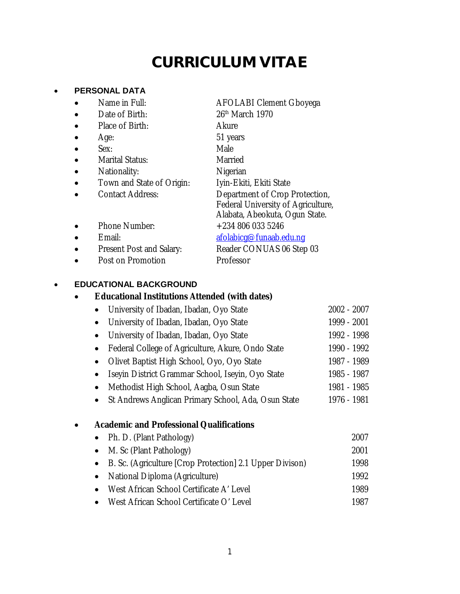# **CURRICULUM VITAE**

#### **PERSONAL DATA**

- 
- 
- Place of Birth: Akure
- 
- Sex: Male
- Marital Status: Married
- Nationality: Nigerian
- 
- Contact Address: Department of Crop Protection,
- Name in Full: AFOLABI Clement Gboyega Date of Birth: 26<sup>th</sup> March 1970 Age: 51 years
	-
	-
	-
- Town and State of Origin: Iyin-Ekiti, Ekiti State
	-
- Federal University of Agriculture, Alabata, Abeokuta, Ogun State.
- Phone Number:  $+2348060335246$
- - Email: [afolabicg@funaab.edu.ng](mailto:afolabicg@funaab.edu.ng)
- Present Post and Salary: Reader CONUAS 06 Step 03
- Post on Promotion Professor
- 

#### **EDUCATIONAL BACKGROUND**

#### **Educational Institutions Attended (with dates)**

- University of Ibadan, Ibadan, Oyo State 2002 2007 • University of Ibadan, Ibadan, Oyo State 1999 - 2001 • University of Ibadan, Ibadan, Oyo State 1992 - 1998 • Federal College of Agriculture, Akure, Ondo State 1990 - 1992
	- Olivet Baptist High School, Oyo, Oyo State 1987 1989
	- Iseyin District Grammar School, Iseyin, Oyo State 1985 1987
	- Methodist High School, Aagba, Osun State 1981 1985
	- St Andrews Anglican Primary School, Ada, Osun State 1976 1981

# **Academic and Professional Qualifications**

• Ph. D. (Plant Pathology) 2007 M. Sc (Plant Pathology) 2001 B. Sc. (Agriculture [Crop Protection] 2.1 Upper Divison) 1998 National Diploma (Agriculture) 1992 West African School Certificate A' Level 1989 • West African School Certificate O' Level 1987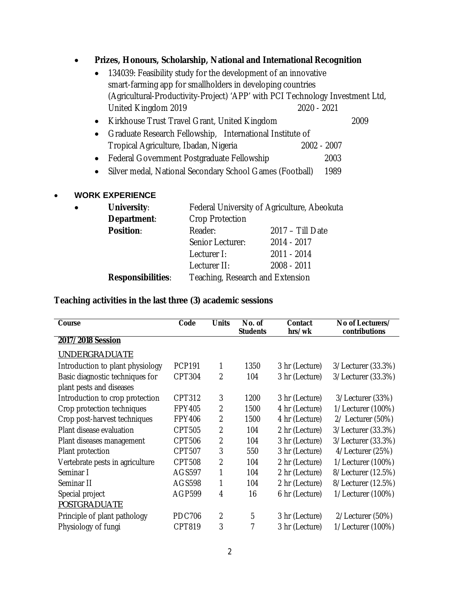#### **Prizes, Honours, Scholarship, National and International Recognition**

| • 134039: Feasibility study for the development of an innovative              |             |      |
|-------------------------------------------------------------------------------|-------------|------|
| smart-farming app for smallholders in developing countries                    |             |      |
| (Agricultural-Productivity-Project) 'APP' with PCI Technology Investment Ltd, |             |      |
| United Kingdom 2019                                                           | 2020 - 2021 |      |
| • Kirkhouse Trust Travel Grant, United Kingdom                                |             | 2009 |

- Graduate Research Fellowship, International Institute of<br>Tropical Agriculture, Ibadan, Nigeria 2002 2007 Tropical Agriculture, Ibadan, Nigeria
- Federal Government Postgraduate Fellowship 2003
- Silver medal, National Secondary School Games (Football) 1989

#### **WORK EXPERIENCE**

| $\bullet$ | <b>University:</b>       | Federal University of Agriculture, Abeokuta |                  |  |  |  |
|-----------|--------------------------|---------------------------------------------|------------------|--|--|--|
|           | Department:              | <b>Crop Protection</b>                      |                  |  |  |  |
|           | <b>Position:</b>         | Reader:                                     | 2017 - Till Date |  |  |  |
|           |                          | Senior Lecturer:                            | 2014 - 2017      |  |  |  |
|           |                          | Lecturer I:                                 | 2011 - 2014      |  |  |  |
|           |                          | Lecturer II:                                | 2008 - 2011      |  |  |  |
|           | <b>Responsibilities:</b> | Teaching, Research and Extension            |                  |  |  |  |

**Teaching activities in the last three (3) academic sessions**

| Course                           | Code          | <b>Units</b>   | No. of<br><b>Students</b> | Contact<br>hrs/wk | No of Lecturers/<br>contributions |
|----------------------------------|---------------|----------------|---------------------------|-------------------|-----------------------------------|
| 2017/2018 Session                |               |                |                           |                   |                                   |
| <b>UNDERGRADUATE</b>             |               |                |                           |                   |                                   |
| Introduction to plant physiology | <b>PCP191</b> | 1              | 1350                      | 3 hr (Lecture)    | 3/Lecturer (33.3%)                |
| Basic diagnostic techniques for  | <b>CPT304</b> | $\overline{2}$ | 104                       | 3 hr (Lecture)    | 3/Lecturer (33.3%)                |
| plant pests and diseases         |               |                |                           |                   |                                   |
| Introduction to crop protection  | <b>CPT312</b> | 3              | 1200                      | 3 hr (Lecture)    | 3/Lecturer (33%)                  |
| Crop protection techniques       | FPY405        | $\overline{2}$ | 1500                      | 4 hr (Lecture)    | 1/Lecturer (100%)                 |
| Crop post-harvest techniques     | <b>FPY406</b> | 2              | 1500                      | 4 hr (Lecture)    | 2/ Lecturer (50%)                 |
| Plant disease evaluation         | <b>CPT505</b> | $\overline{2}$ | 104                       | 2 hr (Lecture)    | 3/Lecturer (33.3%)                |
| Plant diseases management        | <b>CPT506</b> | $\overline{2}$ | 104                       | 3 hr (Lecture)    | 3/Lecturer (33.3%)                |
| Plant protection                 | CPT507        | 3              | 550                       | 3 hr (Lecture)    | 4/Lecturer (25%)                  |
| Vertebrate pests in agriculture  | <b>CPT508</b> | $\overline{2}$ | 104                       | 2 hr (Lecture)    | 1/Lecturer (100%)                 |
| Seminar I                        | <b>AGS597</b> | 1              | 104                       | 2 hr (Lecture)    | 8/Lecturer (12.5%)                |
| Seminar II                       | <b>AGS598</b> | 1              | 104                       | 2 hr (Lecture)    | 8/Lecturer (12.5%)                |
| Special project                  | <b>AGP599</b> | 4              | 16                        | 6 hr (Lecture)    | 1/Lecturer (100%)                 |
| <b>POSTGRADUATE</b>              |               |                |                           |                   |                                   |
| Principle of plant pathology     | <b>PDC706</b> | $\overline{2}$ | 5                         | 3 hr (Lecture)    | 2/Lecturer (50%)                  |
| Physiology of fungi              | CPT819        | 3              | 7                         | 3 hr (Lecture)    | 1/Lecturer (100%)                 |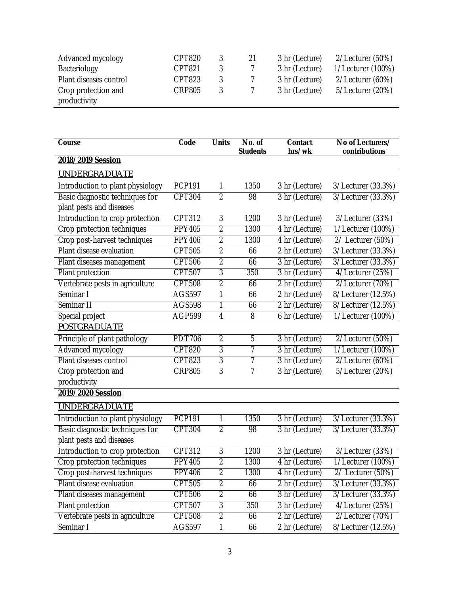| Advanced mycology      | <b>CPT820</b> | 3 | 21 | 3 hr (Lecture) | 2/Lecturer (50%)  |
|------------------------|---------------|---|----|----------------|-------------------|
| Bacteriology           | CPT821        |   |    | 3 hr (Lecture) | 1/Lecturer (100%) |
| Plant diseases control | CPT823        | 3 |    | 3 hr (Lecture) | 2/Lecturer (60%)  |
| Crop protection and    | <b>CRP805</b> |   |    | 3 hr (Lecture) | 5/Lecturer (20%)  |
| productivity           |               |   |    |                |                   |

| <b>Course</b>                    | Code          | <b>Units</b>   | No. of<br><b>Students</b> | <b>Contact</b><br>hrs/wk | No of Lecturers/<br>contributions |
|----------------------------------|---------------|----------------|---------------------------|--------------------------|-----------------------------------|
| 2018/2019 Session                |               |                |                           |                          |                                   |
| <b>UNDERGRADUATE</b>             |               |                |                           |                          |                                   |
| Introduction to plant physiology | <b>PCP191</b> | 1              | 1350                      | 3 hr (Lecture)           | 3/Lecturer (33.3%)                |
| Basic diagnostic techniques for  | <b>CPT304</b> | $\overline{2}$ | 98                        | 3 hr (Lecture)           | 3/Lecturer (33.3%)                |
| plant pests and diseases         |               |                |                           |                          |                                   |
| Introduction to crop protection  | <b>CPT312</b> | 3              | 1200                      | 3 hr (Lecture)           | 3/Lecturer (33%)                  |
| Crop protection techniques       | <b>FPY405</b> | $\overline{2}$ | 1300                      | 4 hr (Lecture)           | 1/Lecturer (100%)                 |
| Crop post-harvest techniques     | <b>FPY406</b> | $\overline{2}$ | 1300                      | 4 hr (Lecture)           | 2/ Lecturer (50%)                 |
| Plant disease evaluation         | <b>CPT505</b> | 2              | 66                        | 2 hr (Lecture)           | 3/Lecturer (33.3%)                |
| Plant diseases management        | CPT506        | $\overline{2}$ | 66                        | 3 hr (Lecture)           | 3/Lecturer (33.3%)                |
| Plant protection                 | CPT507        | $\overline{3}$ | 350                       | 3 hr (Lecture)           | 4/Lecturer (25%)                  |
| Vertebrate pests in agriculture  | <b>CPT508</b> | $\overline{2}$ | 66                        | 2 hr (Lecture)           | $2/$ Lecturer (70%)               |
| Seminar I                        | <b>AGS597</b> | 1              | 66                        | 2 hr (Lecture)           | 8/Lecturer (12.5%)                |
| Seminar II                       | <b>AGS598</b> | 1              | 66                        | 2 hr (Lecture)           | 8/Lecturer (12.5%)                |
| Special project                  | <b>AGP599</b> | $\overline{4}$ | $\overline{8}$            | 6 hr (Lecture)           | 1/Lecturer (100%)                 |
| <b>POSTGRADUATE</b>              |               |                |                           |                          |                                   |
| Principle of plant pathology     | <b>PDT706</b> | $\overline{2}$ | 5                         | 3 hr (Lecture)           | 2/Lecturer (50%)                  |
| <b>Advanced mycology</b>         | CPT820        | 3              | 7                         | 3 hr (Lecture)           | 1/Lecturer (100%)                 |
| Plant diseases control           | CPT823        | 3              | 7                         | 3 hr (Lecture)           | 2/Lecturer (60%)                  |
| Crop protection and              | <b>CRP805</b> | $\overline{3}$ | 7                         | 3 hr (Lecture)           | 5/Lecturer (20%)                  |
| productivity                     |               |                |                           |                          |                                   |
| 2019/2020 Session                |               |                |                           |                          |                                   |
| <b>UNDERGRADUATE</b>             |               |                |                           |                          |                                   |
| Introduction to plant physiology | <b>PCP191</b> | 1              | 1350                      | 3 hr (Lecture)           | 3/Lecturer (33.3%)                |
| Basic diagnostic techniques for  | CPT304        | $\overline{2}$ | 98                        | 3 hr (Lecture)           | 3/Lecturer (33.3%)                |
| plant pests and diseases         |               |                |                           |                          |                                   |
| Introduction to crop protection  | <b>CPT312</b> | $\overline{3}$ | 1200                      | 3 hr (Lecture)           | 3/Lecturer (33%)                  |
| Crop protection techniques       | <b>FPY405</b> | $\overline{2}$ | 1300                      | 4 hr (Lecture)           | 1/Lecturer (100%)                 |
| Crop post-harvest techniques     | <b>FPY406</b> | $\overline{2}$ | 1300                      | 4 hr (Lecture)           | 2/ Lecturer (50%)                 |
| Plant disease evaluation         | CPT505        | $\overline{2}$ | 66                        | 2 hr (Lecture)           | 3/Lecturer (33.3%)                |
| Plant diseases management        | <b>CPT506</b> | $\overline{2}$ | 66                        | 3 hr (Lecture)           | 3/Lecturer (33.3%)                |
| Plant protection                 | CPT507        | $\sqrt{3}$     | 350                       | 3 hr (Lecture)           | 4/Lecturer (25%)                  |
| Vertebrate pests in agriculture  | <b>CPT508</b> | $\overline{2}$ | 66                        | 2 hr (Lecture)           | 2/Lecturer (70%)                  |
| Seminar I                        | <b>AGS597</b> | 1              | 66                        | 2 hr (Lecture)           | 8/Lecturer (12.5%)                |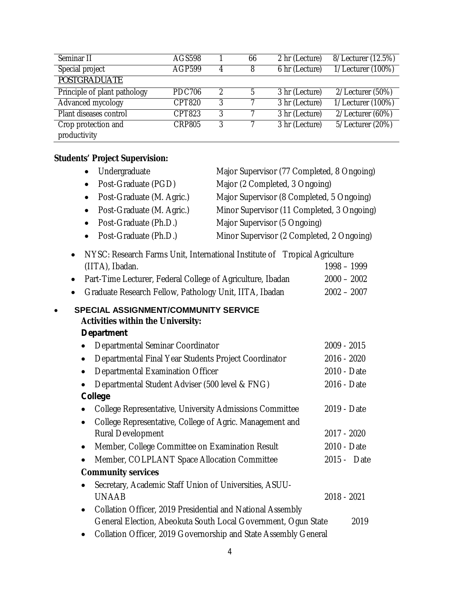| Seminar II                   | AGS598        |               | 66 | 2 hr (Lecture) | 8/Lecturer (12.5%) |
|------------------------------|---------------|---------------|----|----------------|--------------------|
| Special project              | <b>AGP599</b> | 4             | 8  | 6 hr (Lecture) | 1/Lecturer (100%)  |
| <b>POSTGRADUATE</b>          |               |               |    |                |                    |
| Principle of plant pathology | <b>PDC706</b> | $\mathcal{P}$ | .5 | 3 hr (Lecture) | 2/Lecturer (50%)   |
| Advanced mycology            | <b>CPT820</b> | 3             |    | 3 hr (Lecture) | 1/Lecturer (100%)  |
| Plant diseases control       | CPT823        | 3             |    | 3 hr (Lecture) | 2/Lecturer (60%)   |
| Crop protection and          | <b>CRP805</b> | 3             |    | 3 hr (Lecture) | 5/Lecturer (20%)   |
| productivity                 |               |               |    |                |                    |

# **Students' Project Supervision:**

|           | Undergraduate<br>$\bullet$                                                                            | Major Supervisor (77 Completed, 8 Ongoing) |               |
|-----------|-------------------------------------------------------------------------------------------------------|--------------------------------------------|---------------|
|           | Post-Graduate (PGD)<br>$\bullet$                                                                      | Major (2 Completed, 3 Ongoing)             |               |
|           | Post-Graduate (M. Agric.)<br>$\bullet$                                                                | Major Supervisor (8 Completed, 5 Ongoing)  |               |
|           | Post-Graduate (M. Agric.)<br>$\bullet$                                                                | Minor Supervisor (11 Completed, 3 Ongoing) |               |
|           | Post-Graduate (Ph.D.)<br>$\bullet$                                                                    | Major Supervisor (5 Ongoing)               |               |
|           | Post-Graduate (Ph.D.)<br>$\bullet$                                                                    | Minor Supervisor (2 Completed, 2 Ongoing)  |               |
| $\bullet$ | NYSC: Research Farms Unit, International Institute of Tropical Agriculture                            |                                            |               |
|           | (IITA), Ibadan.                                                                                       |                                            | 1998 - 1999   |
| $\bullet$ | Part-Time Lecturer, Federal College of Agriculture, Ibadan                                            |                                            | $2000 - 2002$ |
|           | Graduate Research Fellow, Pathology Unit, IITA, Ibadan                                                |                                            | $2002 - 2007$ |
| $\bullet$ | SPECIAL ASSIGNMENT/COMMUNITY SERVICE<br><b>Activities within the University:</b><br><b>Department</b> |                                            |               |
|           | Departmental Seminar Coordinator<br>$\bullet$                                                         |                                            | 2009 - 2015   |
|           | Departmental Final Year Students Project Coordinator<br>$\bullet$                                     |                                            | 2016 - 2020   |
|           | Departmental Examination Officer<br>$\bullet$                                                         |                                            | 2010 - Date   |
|           | Departmental Student Adviser (500 level & FNG)                                                        |                                            | 2016 - Date   |
|           | College                                                                                               |                                            |               |
|           | College Representative, University Admissions Committee                                               |                                            | 2019 - Date   |
|           | College Representative, College of Agric. Management and<br>$\bullet$                                 |                                            |               |
|           | <b>Rural Development</b>                                                                              |                                            | 2017 - 2020   |
|           | Member, College Committee on Examination Result<br>$\bullet$                                          |                                            | 2010 - Date   |
|           | Member, COLPLANT Space Allocation Committee<br>$\bullet$                                              |                                            | 2015 - Date   |
|           | <b>Community services</b>                                                                             |                                            |               |
|           | Secretary, Academic Staff Union of Universities, ASUU-<br>$\bullet$<br><b>UNAAB</b>                   |                                            | 2018 - 2021   |
|           | Collation Officer, 2019 Presidential and National Assembly<br>$\bullet$                               |                                            |               |
|           | General Election, Abeokuta South Local Government, Ogun State                                         |                                            | 2019          |
|           | Collation Officer, 2019 Governorship and State Assembly General                                       |                                            |               |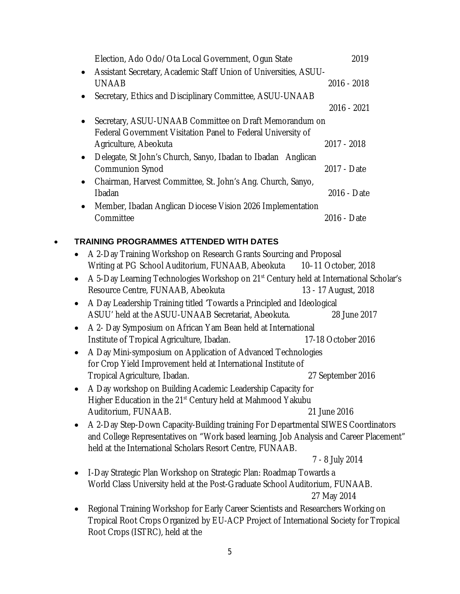| Election, Ado Odo/Ota Local Government, Ogun State                                                                     | 2019        |
|------------------------------------------------------------------------------------------------------------------------|-------------|
| Assistant Secretary, Academic Staff Union of Universities, ASUU-                                                       |             |
| <b>UNAAB</b>                                                                                                           | 2016 - 2018 |
| Secretary, Ethics and Disciplinary Committee, ASUU-UNAAB                                                               |             |
|                                                                                                                        | 2016 - 2021 |
| Secretary, ASUU-UNAAB Committee on Draft Memorandum on<br>Federal Government Visitation Panel to Federal University of |             |
| Agriculture, Abeokuta                                                                                                  | 2017 - 2018 |
| Delegate, St John's Church, Sanyo, Ibadan to Ibadan Anglican<br><b>Communion Synod</b>                                 | 2017 - Date |
| Chairman, Harvest Committee, St. John's Ang. Church, Sanyo,                                                            |             |
| <b>Ibadan</b>                                                                                                          | 2016 - Date |
| Member, Ibadan Anglican Diocese Vision 2026 Implementation                                                             |             |
| Committee                                                                                                              | 2016 - Date |
|                                                                                                                        |             |

# **TRAINING PROGRAMMES ATTENDED WITH DATES**

| A 2-Day Training Workshop on Research Grants Sourcing and Proposal                                 |                      |
|----------------------------------------------------------------------------------------------------|----------------------|
| Writing at PG School Auditorium, FUNAAB, Abeokuta 10-11 October, 2018                              |                      |
| A 5-Day Learning Technologies Workshop on 21 <sup>st</sup> Century held at International Scholar's |                      |
| Resource Centre, FUNAAB, Abeokuta                                                                  | 13 - 17 August, 2018 |
| A Day Leadership Training titled 'Towards a Principled and Ideological                             |                      |
| ASUU' held at the ASUU-UNAAB Secretariat, Abeokuta.                                                | 28 June 2017         |
| A 2- Day Symposium on African Yam Bean held at International                                       |                      |
| Institute of Tropical Agriculture, Ibadan.                                                         | 17-18 October 2016   |
| A Day Mini-symposium on Application of Advanced Technologies                                       |                      |
| for Crop Yield Improvement held at International Institute of                                      |                      |
| Tropical Agriculture, Ibadan.                                                                      | 27 September 2016    |
| A Day workshop on Building Academic Leadership Capacity for                                        |                      |
| Higher Education in the 21 <sup>st</sup> Century held at Mahmood Yakubu                            |                      |
| Auditorium, FUNAAB.                                                                                | 21 June 2016         |
| A 2-Day Step-Down Capacity-Building training For Departmental SIWES Coordinators                   |                      |
| and College Representatives on "Work based learning, Job Analysis and Career Placement"            |                      |
| held at the International Scholars Resort Centre, FUNAAB.                                          |                      |
|                                                                                                    | 7 - 8 July 2014      |
| I-Day Strategic Plan Workshop on Strategic Plan: Roadmap Towards a                                 |                      |
| World Class University held at the Post-Graduate School Auditorium, FUNAAB.                        |                      |
|                                                                                                    | 27 May 2014          |
| Regional Training Workshop for Early Career Scientists and Researchers Working on                  |                      |
| Tropical Root Crops Organized by EU-ACP Project of International Society for Tropical              |                      |
| Root Crops (ISTRC), held at the                                                                    |                      |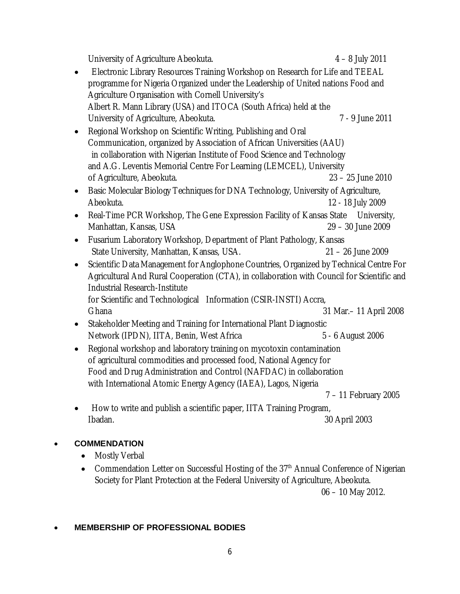University of Agriculture Abeokuta. 4 – 8 July 2011

- Electronic Library Resources Training Workshop on Research for Life and TEEAL programme for Nigeria Organized under the Leadership of United nations Food and Agriculture Organisation with Cornell University's Albert R. Mann Library (USA) and ITOCA (South Africa) held at the University of Agriculture, Abeokuta. 7 - 9 June 2011
- Regional Workshop on Scientific Writing, Publishing and Oral Communication, organized by Association of African Universities (AAU) in collaboration with Nigerian Institute of Food Science and Technology and A.G. Leventis Memorial Centre For Learning (LEMCEL), University of Agriculture, Abeokuta. 23 – 25 June 2010
- Basic Molecular Biology Techniques for DNA Technology, University of Agriculture, Abeokuta. 12 - 18 July 2009
- Real-Time PCR Workshop, The Gene Expression Facility of Kansas State University, Manhattan, Kansas, USA 29 – 30 June 2009
- Fusarium Laboratory Workshop, Department of Plant Pathology, Kansas State University, Manhattan, Kansas, USA. 21 – 26 June 2009
- Scientific Data Management for Anglophone Countries, Organized by Technical Centre For Agricultural And Rural Cooperation (CTA), in collaboration with Council for Scientific and Industrial Research-Institute for Scientific and Technological Information (CSIR-INSTI) Accra, Ghana 31 Mar.– 11 April 2008
- Stakeholder Meeting and Training for International Plant Diagnostic Network (IPDN), IITA, Benin, West Africa 5 - 6 August 2006
- Regional workshop and laboratory training on mycotoxin contamination of agricultural commodities and processed food, National Agency for Food and Drug Administration and Control (NAFDAC) in collaboration with International Atomic Energy Agency (IAEA), Lagos, Nigeria

7 – 11 February 2005

• How to write and publish a scientific paper, IITA Training Program, Ibadan. 30 April 2003

#### **COMMENDATION**

- Mostly Verbal
- Commendation Letter on Successful Hosting of the 37<sup>th</sup> Annual Conference of Nigerian Society for Plant Protection at the Federal University of Agriculture, Abeokuta.

06 – 10 May 2012.

#### **MEMBERSHIP OF PROFESSIONAL BODIES**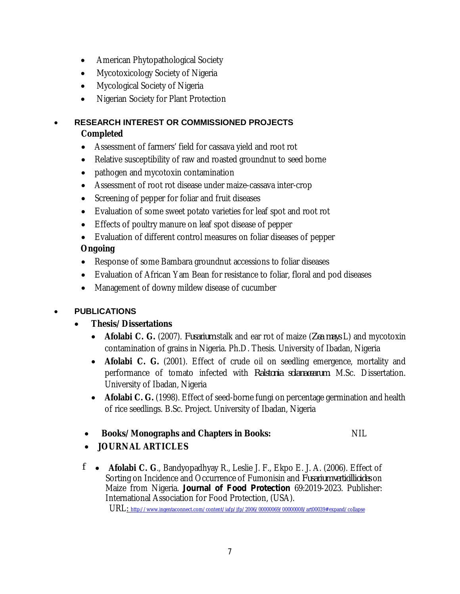- American Phytopathological Society
- Mycotoxicology Society of Nigeria
- Mycological Society of Nigeria
- Nigerian Society for Plant Protection

#### **RESEARCH INTEREST OR COMMISSIONED PROJECTS Completed**

- Assessment of farmers' field for cassava yield and root rot
- Relative susceptibility of raw and roasted groundnut to seed borne
- pathogen and mycotoxin contamination
- Assessment of root rot disease under maize-cassava inter-crop
- Screening of pepper for foliar and fruit diseases
- Evaluation of some sweet potato varieties for leaf spot and root rot
- Effects of poultry manure on leaf spot disease of pepper
- Evaluation of different control measures on foliar diseases of pepper

#### **Ongoing**

- Response of some Bambara groundnut accessions to foliar diseases
- Evaluation of African Yam Bean for resistance to foliar, floral and pod diseases
- Management of downy mildew disease of cucumber

# **PUBLICATIONS**

- **Thesis/Dissertations**
	- **Afolabi C. G.** (2007). *Fusarium* stalk and ear rot of maize (*Zea mays* L) and mycotoxin contamination of grains in Nigeria. Ph.D. Thesis. University of Ibadan, Nigeria
	- **Afolabi C. G.** (2001). Effect of crude oil on seedling emergence, mortality and performance of tomato infected with *Ralstonia solanacearum.* M.Sc. Dissertation. University of Ibadan, Nigeria
	- **Afolabi C. G.** (1998). Effect of seed-borne fungi on percentage germination and health of rice seedlings. B.Sc. Project. University of Ibadan, Nigeria
	- **Books/Monographs and Chapters in Books:** NIL

- **JOURNAL ARTICLES**
- *f* **Afolabi C. G**., Bandyopadhyay R., Leslie J. F., Ekpo E. J. A. (2006). Effect of Sorting on Incidence and Occurrence of Fumonisin and *Fusarium verticillioides* on Maize from Nigeria. *Journal of Food Protection* 69:2019-2023. Publisher: International Association for Food Protection, (USA). URL: <http://www.ingentaconnect.com/content/iafp/jfp/2006/00000069/00000008/art00039#expand/collapse>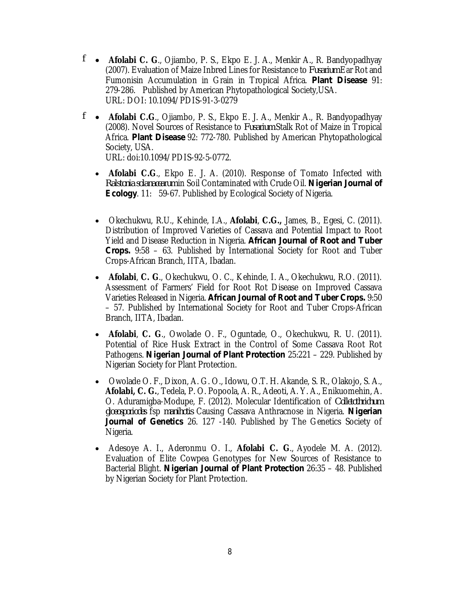- *f* **Afolabi C. G**., Ojiambo, P. S., Ekpo E. J. A., Menkir A., R. Bandyopadhyay (2007). Evaluation of Maize Inbred Lines for Resistance to *Fusarium* Ear Rot and Fumonisin Accumulation in Grain in Tropical Africa. *Plant Disease* 91: 279-286. Published by American Phytopathological Society,USA. URL: DOI: 10.1094/PDIS-91-3-0279
- *f* **Afolabi C.G**., Ojiambo, P. S., Ekpo E. J. A., Menkir A., R. Bandyopadhyay (2008). Novel Sources of Resistance to *Fusarium* Stalk Rot of Maize in Tropical Africa. *Plant Disease* 92: 772-780. Published by American Phytopathological Society, USA.

URL: doi:10.1094/PDIS-92-5-0772.

- **Afolabi C.G**., Ekpo E. J. A. (2010). Response of Tomato Infected with *Ralstonia solanacearum* in Soil Contaminated with Crude Oil. *Nigerian Journal of Ecology*. 11: 59-67. Published by Ecological Society of Nigeria.
- Okechukwu, R.U., Kehinde, I.A., **Afolabi**, **C.G.,** James, B., Egesi, C. (2011). Distribution of Improved Varieties of Cassava and Potential Impact to Root Yield and Disease Reduction in Nigeria. *African Journal of Root and Tuber Crops.* 9:58 – 63. Published by International Society for Root and Tuber Crops-African Branch, IITA, Ibadan.
- **Afolabi**, **C. G**., Okechukwu, O. C., Kehinde, I. A., Okechukwu, R.O. (2011). Assessment of Farmers' Field for Root Rot Disease on Improved Cassava Varieties Released in Nigeria. *African Journal of Root and Tuber Crops.* 9:50 – 57. Published by International Society for Root and Tuber Crops-African Branch, IITA, Ibadan.
- **Afolabi**, **C. G**., Owolade O. F., Oguntade, O., Okechukwu, R. U. (2011). Potential of Rice Husk Extract in the Control of Some Cassava Root Rot Pathogens. *Nigerian Journal of Plant Protection* 25:221 – 229. Published by Nigerian Society for Plant Protection.
- Owolade O. F., Dixon, A. G. O., Idowu, O.T. H. Akande, S. R., Olakojo, S. A., **Afolabi, C. G.**, Tedela, P. O. Popoola, A. R., Adeoti, A. Y. A., Enikuomehin, A. O. Aduramigba-Modupe, F. (2012). Molecular Identification of *Colletothrichum gloeosporiodes* fsp *manihotis* Causing Cassava Anthracnose in Nigeria. *Nigerian Journal of Genetics* 26. 127 -140. Published by The Genetics Society of Nigeria.
- Adesoye A. I., Aderonmu O. I., **Afolabi C. G**., Ayodele M. A. (2012). Evaluation of Elite Cowpea Genotypes for New Sources of Resistance to Bacterial Blight. *Nigerian Journal of Plant Protection* 26:35 – 48. Published by Nigerian Society for Plant Protection.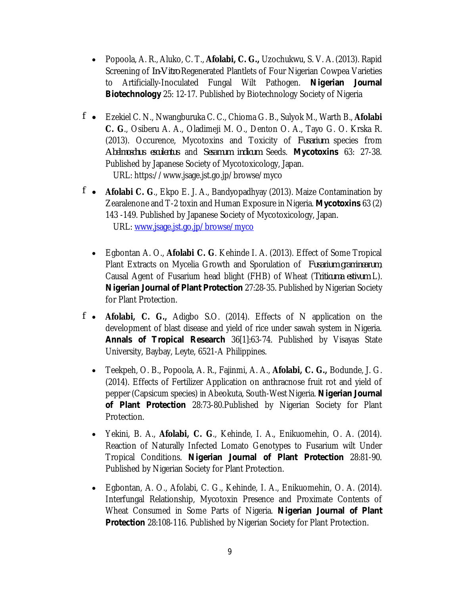- Popoola, A. R., Aluko, C. T., **Afolabi, C. G.,** Uzochukwu, S. V. A. (2013). Rapid Screening of *In-Vitro* Regenerated Plantlets of Four Nigerian Cowpea Varieties to Artificially-Inoculated Fungal Wilt Pathogen. *Nigerian Journal*  **Biotechnology** 25: 12-17. Published by Biotechnology Society of Nigeria
- *f* Ezekiel C. N., Nwangburuka C. C., Chioma G. B., Sulyok M., Warth B., **Afolabi C. G**., Osiberu A. A., Oladimeji M. O., Denton O. A., Tayo G. O. Krska R. (2013). Occurence, Mycotoxins and Toxicity of *Fusarium* species from *Abelmoschus esculentus* and *Sesamum indicum* Seeds. *Mycotoxins* 63: 27-38. Published by Japanese Society of Mycotoxicology, Japan. URL: <https://www.jsage.jst.go.jp/browse/myco>
- *f* **Afolabi C. G**., Ekpo E. J. A., Bandyopadhyay (2013). Maize Contamination by Zearalenone and T-2 toxin and Human Exposure in Nigeria. *Mycotoxins* 63 (2) 143 -149. Published by Japanese Society of Mycotoxicology, Japan. URL: [www.jsage.jst.go.jp/browse/myco](http://www.jsage.jst.go.jp/browse/myco)
	- Egbontan A. O., **Afolabi C. G**. Kehinde I. A. (2013). Effect of Some Tropical Plant Extracts on Mycelia Growth and Sporulation of *Fusarium graminearum*, Causal Agent of Fusarium head blight (FHB) of Wheat (*Triticuma estivum* L). *Nigerian Journal of Plant Protection* 27:28-35. Published by Nigerian Society for Plant Protection.
- *f* **Afolabi, C. G.,** Adigbo S.O. (2014). Effects of N application on the development of blast disease and yield of rice under sawah system in Nigeria. *Annals of Tropical Research* 36[1]:63-74. Published by Visayas State University, Baybay, Leyte, 6521-A Philippines.
	- Teekpeh, O. B., Popoola, A. R., Fajinmi, A. A., **Afolabi, C. G.,** Bodunde, J. G. (2014). Effects of Fertilizer Application on anthracnose fruit rot and yield of pepper (Capsicum species) in Abeokuta, South-West Nigeria. *Nigerian Journal of Plant Protection* 28:73-80.Published by Nigerian Society for Plant Protection.
	- Yekini, B. A., **Afolabi, C. G**., Kehinde, I. A., Enikuomehin, O. A. (2014). Reaction of Naturally Infected Lomato Genotypes to Fusarium wilt Under Tropical Conditions. *Nigerian Journal of Plant Protection* 28:81-90. Published by Nigerian Society for Plant Protection.
	- Egbontan, A. O., Afolabi, C. G., Kehinde, I. A., Enikuomehin, O. A. (2014). Interfungal Relationship, Mycotoxin Presence and Proximate Contents of Wheat Consumed in Some Parts of Nigeria. *Nigerian Journal of Plant*  **Protection** 28:108-116. Published by Nigerian Society for Plant Protection.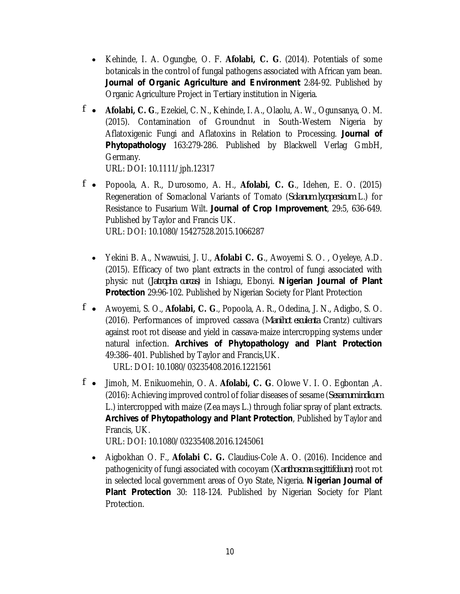- Kehinde, I. A. Ogungbe, O. F. **Afolabi, C. G**. (2014). Potentials of some botanicals in the control of fungal pathogens associated with African yam bean. *Journal of Organic Agriculture and Environment* 2:84-92. Published by Organic Agriculture Project in Tertiary institution in Nigeria.
- *f* **Afolabi, C. G**., Ezekiel, C. N., Kehinde, I. A., Olaolu, A. W., Ogunsanya, O. M. (2015). Contamination of Groundnut in South-Western Nigeria by Aflatoxigenic Fungi and Aflatoxins in Relation to Processing. *Journal of Phytopathology* 163:279-286. Published by Blackwell Verlag GmbH, Germany.

URL: DOI: 10.1111/jph.12317

- *f* Popoola, A. R., Durosomo, A. H., **Afolabi, C. G**., Idehen, E. O. (2015) Regeneration of Somaclonal Variants of Tomato (*Solanum lycopersicum* L.) for Resistance to Fusarium Wilt. *Journal of Crop Improvement*, 29:5, 636-649. Published by Taylor and Francis UK. URL: DOI: 10.1080/15427528.2015.1066287
	- Yekini B. A., Nwawuisi, J. U., **Afolabi C. G**., Awoyemi S. O. , Oyeleye, A.D. (2015). Efficacy of two plant extracts in the control of fungi associated with physic nut (*Jatropha curcas*) in Ishiagu, Ebonyi. *Nigerian Journal of Plant*  **Protection** 29:96-102. Published by Nigerian Society for Plant Protection
- *f* Awoyemi, S. O., **Afolabi, C. G**., Popoola, A. R., Odedina, J. N., Adigbo, S. O. (2016). Performances of improved cassava (*Manihot esculenta* Crantz) cultivars against root rot disease and yield in cassava-maize intercropping systems under natural infection. *Archives of Phytopathology and Plant Protection* 49:386–401. Published by Taylor and Francis,UK. URL: DOI: 10.1080/03235408.2016.1221561
- *f* Jimoh, M. Enikuomehin, O. A. **Afolabi, C. G**. Olowe V. I. O. Egbontan ,A. (2016): Achieving improved control of foliar diseases of sesame (*Sesamum indicum* L.) intercropped with maize (Zea mays L.) through foliar spray of plant extracts. *Archives of Phytopathology and Plant Protection*, Published by Taylor and Francis, UK.

URL: DOI: 10.1080/03235408.2016.1245061

 Aigbokhan O. F., **Afolabi C. G.** Claudius-Cole A. O. (2016). Incidence and pathogenicity of fungi associated with cocoyam (*Xanthosoma sagittifolium*) root rot in selected local government areas of Oyo State, Nigeria. *Nigerian Journal of Plant Protection* 30: 118-124. Published by Nigerian Society for Plant Protection.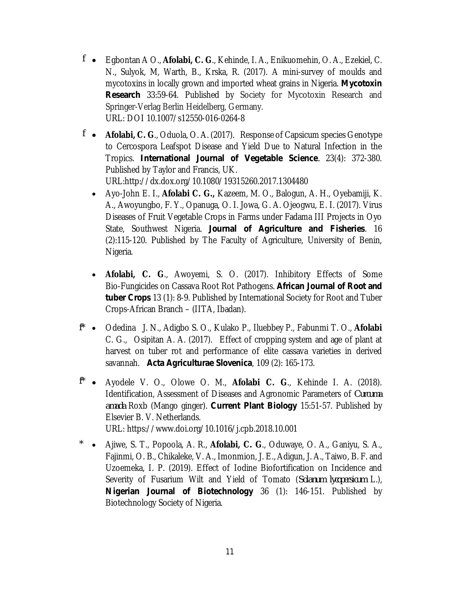- *f* Egbontan A O., **Afolabi, C. G**., Kehinde, I. A., Enikuomehin, O. A., Ezekiel, C. N., Sulyok, M, Warth, B., Krska, R. (2017). A mini-survey of moulds and mycotoxins in locally grown and imported wheat grains in Nigeria. *Mycotoxin Research* 33:59-64. Published by Society for Mycotoxin Research and Springer-Verlag Berlin Heidelberg, Germany. URL: DOI 10.1007/s12550-016-0264-8
- *f* **Afolabi, C. G**., Oduola, O. A. (2017). Response of Capsicum species Genotype to Cercospora Leafspot Disease and Yield Due to Natural Infection in the Tropics. *International Journal of Vegetable Science.* 23(4): 372-380. Published by Taylor and Francis, UK. URL:<http://dx.dox.org/10.1080/19315260.2017.1304480>
	- Ayo-John E. I., **Afolabi C. G.,** Kazeem, M. O., Balogun, A. H., Oyebamiji, K. A., Awoyungbo, F. Y., Opanuga, O. I. Jowa, G. A. Ojeogwu, E. I. (2017). Virus Diseases of Fruit Vegetable Crops in Farms under Fadama III Projects in Oyo State, Southwest Nigeria. *Journal of Agriculture and Fisheries*. 16 (2):115-120. Published by The Faculty of Agriculture, University of Benin, Nigeria.
	- **Afolabi, C. G**., Awoyemi, S. O. (2017). Inhibitory Effects of Some Bio-Fungicides on Cassava Root Rot Pathogens. *African Journal of Root and tuber Crops* 13 (1): 8-9. Published by International Society for Root and Tuber Crops-African Branch – (IITA, Ibadan).
- *f\** Odedina J. N., Adigbo S. O., Kulako P., Iluebbey P., Fabunmi T. O., **Afolabi**  C. G., Osipitan A. A. (2017). Effect of cropping system and age of plant at harvest on tuber rot and performance of elite cassava varieties in derived savannah. *Acta Agriculturae Slovenica*, 109 (2): 165-173.
- *f\** Ayodele V. O., Olowe O. M., **Afolabi C. G**., Kehinde I. A. (2018). Identification, Assessment of Diseases and Agronomic Parameters of *Curcuma amada* Roxb (Mango ginger). *Current Plant Biology* 15:51-57. Published by Elsevier B. V. Netherlands. URL: <https://www.doi.org/10.1016/j.cpb.2018.10.001>
- *\** Ajiwe, S. T., Popoola, A. R., **Afolabi, C. G**., Oduwaye, O. A., Ganiyu, S. A., Fajinmi, O. B., Chikaleke, V. A., Imonmion, J. E., Adigun, J. A., Taiwo, B. F. and Uzoemeka, I. P. (2019). Effect of Iodine Biofortification on Incidence and Severity of Fusarium Wilt and Yield of Tomato (*Solanum lycopersicum* L.), *Nigerian Journal of Biotechnology* 36 (1): 146-151. Published by Biotechnology Society of Nigeria.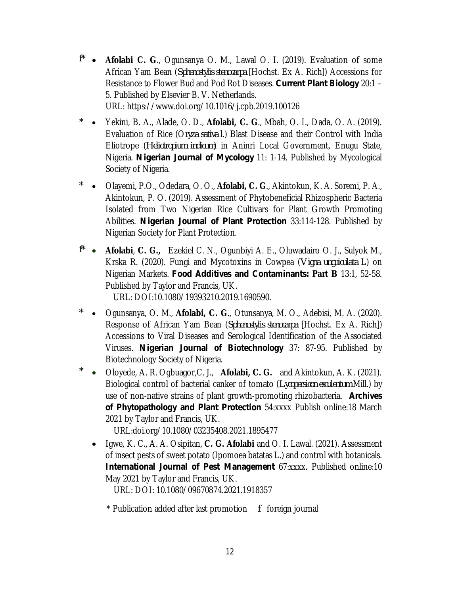- *f\** **Afolabi C. G**., Ogunsanya O. M., Lawal O. I. (2019). Evaluation of some African Yam Bean (*Sphenostylis stenocarpa* [Hochst. Ex A. Rich]) Accessions for Resistance to Flower Bud and Pod Rot Diseases. *Current Plant Biology* 20:1 – 5. Published by Elsevier B. V. Netherlands. URL: <https://www.doi.org/10.1016/j.cpb.2019.100126>
- *\** Yekini, B. A., Alade, O. D., **Afolabi, C. G**., Mbah, O. I., Dada, O. A. (2019). Evaluation of Rice (O*ryza sativa* l.) Blast Disease and their Control with India Eliotrope (*Heliotropium indicum*) in Aninri Local Government, Enugu State, Nigeria. *Nigerian Journal of Mycology* 11: 1-14. Published by Mycological Society of Nigeria.
- *\** Olayemi, P.O., Odedara, O. O., **Afolabi, C. G**., Akintokun, K. A. Soremi, P. A., Akintokun, P. O. (2019). Assessment of Phytobeneficial Rhizospheric Bacteria Isolated from Two Nigerian Rice Cultivars for Plant Growth Promoting Abilities. *Nigerian Journal of Plant Protection* 33:114-128. Published by Nigerian Society for Plant Protection.
- *f\** **Afolabi**, **C. G.,** Ezekiel C. N., Ogunbiyi A. E., Oluwadairo O. J., Sulyok M., Krska R. (2020). Fungi and Mycotoxins in Cowpea (*Vigna unguiculata* L) on Nigerian Markets. *Food Additives and Contaminants:* **Part B** 13:1, 52-58. Published by Taylor and Francis, UK.

URL: DOI:10.1080/19393210.2019.1690590.

- *\** Ogunsanya, O. M., **Afolabi, C. G**., Otunsanya, M. O., Adebisi, M. A. (2020). Response of African Yam Bean (*Sphenostylis stenocarpa* [Hochst. Ex A. Rich]) Accessions to Viral Diseases and Serological Identification of the Associated Viruses. *Nigerian Journal of Biotechnology* 37: 87-95. Published by Biotechnology Society of Nigeria.
- *\** Oloyede, A. R. Ogbuagor,C. J., **Afolabi, C. G.** and Akintokun, A. K. (2021). Biological control of bacterial canker of tomato (*Lycopersicon esculentum* Mill.) by use of non-native strains of plant growth-promoting rhizobacteria. *Archives of Phytopathology and Plant Protection* 54:xxxx Publish online:18 March 2021 by Taylor and Francis, UK.

URL:doi.org/10.1080/03235408.2021.1895477

 Igwe, K. C., A. A. Osipitan, **C. G. Afolabi** and O. I. Lawal. (2021). Assessment of insect pests of sweet potato (Ipomoea batatas L.) and control with botanicals. *International Journal of Pest Management* 67:xxxx. Published online:10 May 2021 by Taylor and Francis, UK.

URL: DOI: 10.1080/09670874.2021.1918357

\* Publication added after last promotion *f* foreign journal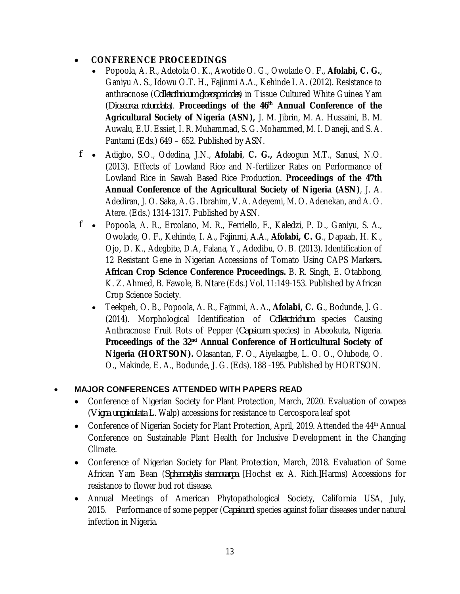# **CONFERENCE PROCEEDINGS**

- Popoola, A. R., Adetola O. K., Awotide O. G., Owolade O. F., **Afolabi, C. G.**, Ganiyu A. S., Idowu O.T. H., Fajinmi A.A., Kehinde I. A. (2012). Resistance to anthracnose (*Colletothricum gloeosporiodes*) in Tissue Cultured White Guinea Yam (*Dioscorea rotundata*). **Proceedings of the 46th Annual Conference of the Agricultural Society of Nigeria (ASN),** J. M. Jibrin, M. A. Hussaini, B. M. Auwalu, E.U. Essiet, I. R. Muhammad, S. G. Mohammed, M. I. Daneji, and S. A. Pantami (Eds.) 649 – 652. Published by ASN.
- *f* Adigbo, S.O., Odedina, J.N., **Afolabi**, **C. G.,** Adeogun M.T., Sanusi, N.O. (2013). Effects of Lowland Rice and N-fertilizer Rates on Performance of Lowland Rice in Sawah Based Rice Production. **Proceedings of the 47th Annual Conference of the Agricultural Society of Nigeria (ASN)**, J. A. Adediran, J. O. Saka, A. G. Ibrahim, V. A. Adeyemi, M. O. Adenekan, and A. O. Atere. (Eds.) 1314-1317. Published by ASN.
- *f* Popoola, A. R., Ercolano, M. R., Ferriello, F., Kaledzi, P. D., Ganiyu, S. A., Owolade, O. F., Kehinde, I. A., Fajinmi, A.A., **Afolabi, C. G**., Dapaah, H. K., Ojo, D. K., Adegbite, D.A, Falana, Y., Adedibu, O. B. (2013). Identification of 12 Resistant Gene in Nigerian Accessions of Tomato Using CAPS Markers**. African Crop Science Conference Proceedings.** B. R. Singh, E. Otabbong, K. Z. Ahmed, B. Fawole, B. Ntare (Eds.) Vol. 11:149-153. Published by African Crop Science Society.
	- Teekpeh, O. B., Popoola, A. R., Fajinmi, A. A., **Afolabi, C. G**., Bodunde, J. G. (2014). Morphological Identification of *Colletotrichum* species Causing Anthracnose Fruit Rots of Pepper (*Capsicum* species) in Abeokuta, Nigeria. **Proceedings of the 32nd Annual Conference of Horticultural Society of Nigeria (HORTSON).** Olasantan, F. O., Aiyelaagbe, L. O. O., Olubode, O. O., Makinde, E. A., Bodunde, J. G. (Eds). 188 -195. Published by HORTSON.

#### **MAJOR CONFERENCES ATTENDED WITH PAPERS READ**

- Conference of Nigerian Society for Plant Protection, March, 2020. Evaluation of cowpea (*Vigna unguiculata* L. Walp) accessions for resistance to Cercospora leaf spot
- Conference of Nigerian Society for Plant Protection, April, 2019. Attended the  $44<sup>th</sup>$  Annual Conference on Sustainable Plant Health for Inclusive Development in the Changing Climate.
- Conference of Nigerian Society for Plant Protection, March, 2018. Evaluation of Some African Yam Bean (*Sphenostylis sternocarpa* [Hochst ex A. Rich.]Harms) Accessions for resistance to flower bud rot disease.
- Annual Meetings of American Phytopathological Society, California USA, July, 2015. Performance of some pepper (*Capsicum*) species against foliar diseases under natural infection in Nigeria.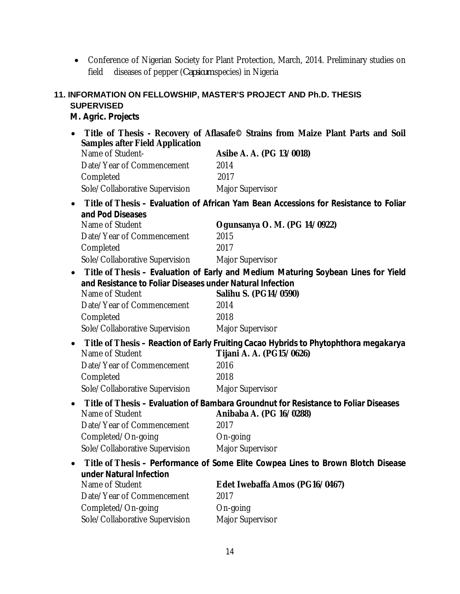• Conference of Nigerian Society for Plant Protection, March, 2014. Preliminary studies on field diseases of pepper (*Capsicum* species) in Nigeria

#### **11. INFORMATION ON FELLOWSHIP, MASTER'S PROJECT AND Ph.D. THESIS SUPERVISED**

#### *M. Agric. Projects*

 **Title of Thesis - Recovery of Aflasafe© Strains from Maize Plant Parts and Soil Samples after Field Application** Asibe A. A. (PG 13/0018) Date/Year of Commencement 2014 Completed 2017 Sole/Collaborative Supervision Major Supervisor **Title of Thesis – Evaluation of African Yam Bean Accessions for Resistance to Foliar and Pod Diseases** Name of Student **Ogunsanya O. M. (PG 14/0922)** Date/Year of Commencement 2015 Completed 2017 Sole/Collaborative Supervision Major Supervisor **Title of Thesis – Evaluation of Early and Medium Maturing Soybean Lines for Yield and Resistance to Foliar Diseases under Natural Infection** Salihu S. (PG14/0590) Date/Year of Commencement 2014 Completed 2018 Sole/Collaborative Supervision Major Supervisor **Title of Thesis – Reaction of Early Fruiting Cacao Hybrids to** *Phytophthora megakarya* Name of Student **Tijani A. A. (PG15/0626)** Date/Year of Commencement 2016 Completed 2018 Sole/Collaborative Supervision Major Supervisor **Title of Thesis – Evaluation of Bambara Groundnut for Resistance to Foliar Diseases** Name of Student **Anibaba A. (PG 16/0288)** Date/Year of Commencement 2017 Completed/On-going Completed Sole/Collaborative Supervision Major Supervisor **Title of Thesis – Performance of Some Elite Cowpea Lines to Brown Blotch Disease under Natural Infection** Name of Student **Edet Iwebaffa Amos (PG16/0467)** Date/Year of Commencement 2017 Completed/On-going **On-going** Sole/Collaborative Supervision Major Supervisor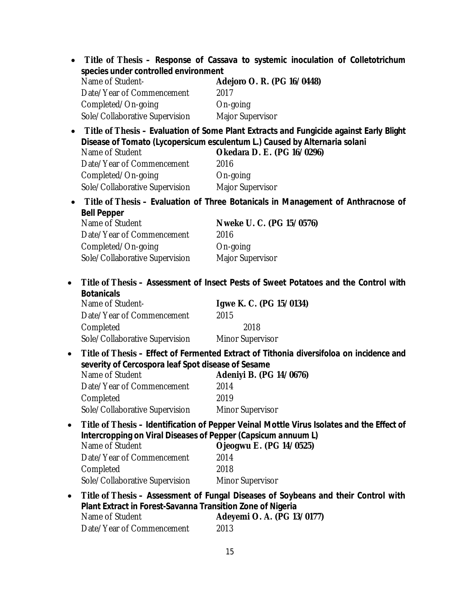|           |                                                                                                                                                              | Title of Thesis - Response of Cassava to systemic inoculation of Colletotrichum                                                                                 |
|-----------|--------------------------------------------------------------------------------------------------------------------------------------------------------------|-----------------------------------------------------------------------------------------------------------------------------------------------------------------|
|           | species under controlled environment                                                                                                                         |                                                                                                                                                                 |
|           | Name of Student-                                                                                                                                             | Adejoro O. R. (PG 16/0448)                                                                                                                                      |
|           | Date/Year of Commencement                                                                                                                                    | 2017                                                                                                                                                            |
|           | Completed/On-going                                                                                                                                           | On-going                                                                                                                                                        |
|           | Sole/Collaborative Supervision                                                                                                                               | Major Supervisor                                                                                                                                                |
|           |                                                                                                                                                              | Title of Thesis - Evaluation of Some Plant Extracts and Fungicide against Early Blight                                                                          |
|           | Name of Student                                                                                                                                              | Disease of Tomato (Lycopersicum esculentum L.) Caused by Alternaria solani<br>Okedara D. E. (PG 16/0296)                                                        |
|           | Date/Year of Commencement                                                                                                                                    | 2016                                                                                                                                                            |
|           | Completed/On-going                                                                                                                                           | On-going                                                                                                                                                        |
|           | Sole/Collaborative Supervision                                                                                                                               | Major Supervisor                                                                                                                                                |
|           |                                                                                                                                                              | Title of Thesis - Evaluation of Three Botanicals in Management of Anthracnose of                                                                                |
|           | <b>Bell Pepper</b><br>Name of Student                                                                                                                        | Nweke U. C. (PG 15/0576)                                                                                                                                        |
|           | Date/Year of Commencement                                                                                                                                    | 2016                                                                                                                                                            |
|           | Completed/On-going                                                                                                                                           | On-going                                                                                                                                                        |
|           | Sole/Collaborative Supervision                                                                                                                               | Major Supervisor                                                                                                                                                |
|           | <b>Botanicals</b><br>Name of Student-<br>Date/Year of Commencement<br>Completed<br>Sole/Collaborative Supervision                                            | Title of Thesis - Assessment of Insect Pests of Sweet Potatoes and the Control with<br>Igwe K. C. (PG 15/0134)<br>2015<br>2018<br>Minor Supervisor              |
| $\bullet$ | severity of Cercospora leaf Spot disease of Sesame<br>Name of Student<br>Date/Year of Commencement<br>Completed<br>Sole/Collaborative Supervision            | Title of Thesis - Effect of Fermented Extract of Tithonia diversifoloa on incidence and<br>Adeniyi B. (PG 14/0676)<br>2014<br>2019<br>Minor Supervisor          |
| $\bullet$ | Intercropping on Viral Diseases of Pepper (Capsicum annuum L)<br>Name of Student<br>Date/Year of Commencement<br>Completed<br>Sole/Collaborative Supervision | Title of Thesis – Identification of Pepper Veinal Mottle Virus Isolates and the Effect of<br>Ojeogwu E. (PG 14/0525)<br>2014<br>2018<br><b>Minor Supervisor</b> |
| $\bullet$ | Plant Extract in Forest-Savanna Transition Zone of Nigeria<br>Name of Student<br>Date/Year of Commencement                                                   | Title of Thesis - Assessment of Fungal Diseases of Soybeans and their Control with<br>Adeyemi O. A. (PG 13/0177)<br>2013                                        |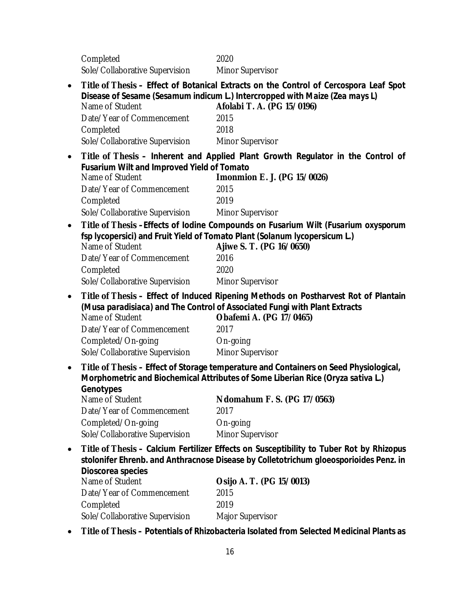Completed 2020 Sole/Collaborative Supervision Minor Supervisor

- **Title of Thesis – Effect of Botanical Extracts on the Control of** *Cercospora* **Leaf Spot Disease of Sesame (***Sesamum indicum* **L.) Intercropped with Maize (***Zea mays* **L)** Name of Student **Afolabi T. A. (PG 15/0196)** Date/Year of Commencement 2015 Completed 2018 Sole/Collaborative Supervision Minor Supervisor **Title of Thesis – Inherent and Applied Plant Growth Regulator in the Control of Fusarium Wilt and Improved Yield of Tomato Imonmion E. J. (PG 15/0026)** Date/Year of Commencement 2015 Completed 2019 Sole/Collaborative Supervision Minor Supervisor **Title of Thesis –Effects of Iodine Compounds on Fusarium Wilt (***Fusarium oxysporum* **fsp** *lycopersici***) and Fruit Yield of Tomato Plant (***Solanum lycopersicum* **L.)** Name of Student **Ajiwe S. T. (PG 16/0650)** Date/Year of Commencement 2016 Completed 2020 Sole/Collaborative Supervision Minor Supervisor **Title of Thesis – Effect of Induced Ripening Methods on Postharvest Rot of Plantain (***Musa paradisiaca***) and The Control of Associated Fungi with Plant Extracts**  Name of Student **Obafemi A. (PG 17/0465)** Date/Year of Commencement 2017 Completed/On-going Completed Sole/Collaborative Supervision Minor Supervisor **Title of Thesis – Effect of Storage temperature and Containers on Seed Physiological, Morphometric and Biochemical Attributes of Some Liberian Rice (***Oryza sativa* **L.) Genotypes** Name of Student **Ndomahum F. S. (PG 17/0563)** Date/Year of Commencement 2017 Completed/On-going Completed Sole/Collaborative Supervision Minor Supervisor
	- **Title of Thesis – Calcium Fertilizer Effects on Susceptibility to Tuber Rot by** *Rhizopus stolonifer* **Ehrenb. and Anthracnose Disease by** *Colletotrichum gloeosporioides* **Penz. in Dioscorea species**

| Name of Student                | Osijo A. T. (PG 15/0013) |
|--------------------------------|--------------------------|
| Date/Year of Commencement      | 2015                     |
| Completed                      | 2019                     |
| Sole/Collaborative Supervision | Major Supervisor         |
|                                |                          |

**Title of Thesis – Potentials of Rhizobacteria Isolated from Selected Medicinal Plants as**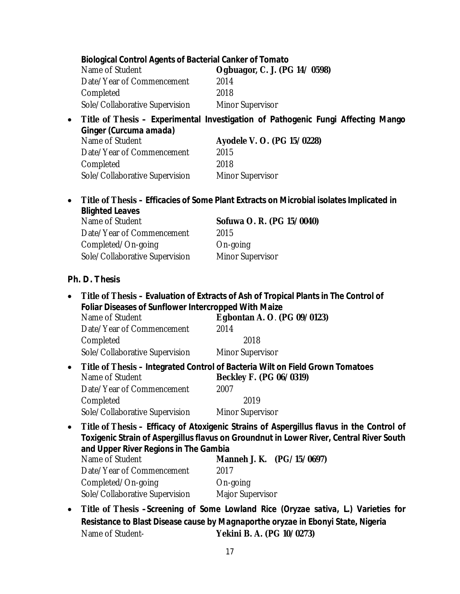| Name of Student                | Ogbuagor, C. J. (PG 14/0598) |
|--------------------------------|------------------------------|
| Date/Year of Commencement      | 2014                         |
| Completed                      | 2018                         |
| Sole/Collaborative Supervision | <b>Minor Supervisor</b>      |

#### **Title of Thesis – Experimental Investigation of Pathogenic Fungi Affecting Mango Ginger (***Curcuma amada***)**

| Name of Student                | Ayodele V. O. (PG 15/0228) |
|--------------------------------|----------------------------|
| Date/Year of Commencement      | 2015                       |
| Completed                      | 2018                       |
| Sole/Collaborative Supervision | <b>Minor Supervisor</b>    |

 **Title of Thesis – Efficacies of Some Plant Extracts on Microbial isolates Implicated in Blighted Leaves**

| Name of Student                | Sofuwa O. R. (PG 15/0040) |
|--------------------------------|---------------------------|
| Date/Year of Commencement      | 2015                      |
| Completed/On-going             | On-going                  |
| Sole/Collaborative Supervision | <b>Minor Supervisor</b>   |

#### *Ph. D. Thesis*

- **Title of Thesis – Evaluation of Extracts of Ash of Tropical Plants in The Control of Foliar Diseases of Sunflower Intercropped With Maize** Name of Student **Egbontan A. O**. **(PG 09/0123)** Date/Year of Commencement 2014 Completed 2018 Sole/Collaborative Supervision Minor Supervisor
- **Title of Thesis Integrated Control of Bacteria Wilt on Field Grown Tomatoes**<br> **Recklev F. (PG 06/0319)** Beckley F. (PG 06/0319) Date/Year of Commencement 2007 Completed 2019 Sole/Collaborative Supervision Minor Supervisor
- **Title of Thesis – Efficacy of Atoxigenic Strains of** *Aspergillus flavus* **in the Control of Toxigenic Strain of** *Aspergillus flavus* **on Groundnut in Lower River, Central River South and Upper River Regions in The Gambia**

| Manneh J. K. (PG/15/0697) |
|---------------------------|
| 2017                      |
| On-going                  |
| Major Supervisor          |
|                           |

 **Title of Thesis –Screening of Some Lowland Rice (***Oryzae sativa,* **L.) Varieties for Resistance to Blast Disease cause by** *Magnaporthe oryzae* **in Ebonyi State, Nigeria** Name of Student- **Yekini B. A. (PG 10/0273)**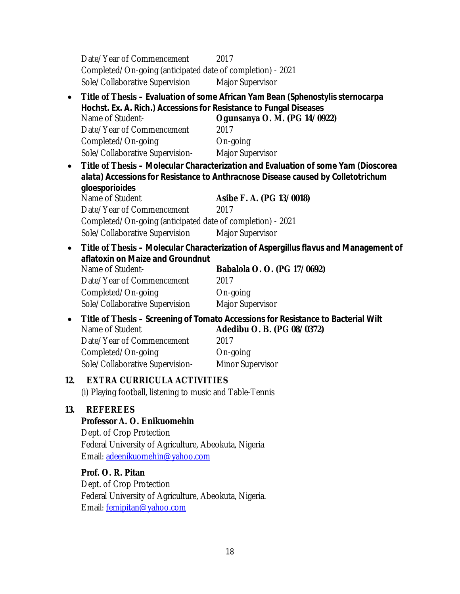Date/Year of Commencement 2017 Completed/On-going (anticipated date of completion) - 2021 Sole/Collaborative Supervision Major Supervisor **Title of Thesis – Evaluation of some African Yam Bean (***Sphenostylis sternocarpa*  **Hochst. Ex. A. Rich.) Accessions for Resistance to Fungal Diseases**  Name of Student- **Ogunsanya O. M. (PG 14/0922)** Date/Year of Commencement 2017 Completed/On-going Completed Sole/Collaborative Supervision- Major Supervisor **Title of Thesis – Molecular Characterization and Evaluation of some Yam (***Dioscorea alata***) Accessions for Resistance to Anthracnose Disease caused by** *Colletotrichum gloesporioides* Name of Student **Asibe F. A. (PG 13/0018)** Date/Year of Commencement 2017 Completed/On-going (anticipated date of completion) - 2021 Sole/Collaborative Supervision Major Supervisor **Title of Thesis – Molecular Characterization of** *Aspergillus flavus* **and Management of aflatoxin on Maize and Groundnut** Name of Student- **Babalola O. O. (PG 17/0692)** Date/Year of Commencement 2017 Completed/On-going **On-going** Sole/Collaborative Supervision Major Supervisor **Title of Thesis – Screening of Tomato Accessions for Resistance to Bacterial Wilt** Name of Student **Adedibu O. B. (PG 08/0372)** Date/Year of Commencement 2017 Completed/On-going **On-going** Sole/Collaborative Supervision- Minor Supervisor **12. EXTRA CURRICULA ACTIVITIES** (i) Playing football, listening to music and Table-Tennis **13. REFEREES Professor A. O. Enikuomehin** Dept. of Crop Protection Federal University of Agriculture, Abeokuta, Nigeria Email: [adeenikuomehin@yahoo.com](mailto:adeenikuomehin@yahoo.com) **Prof. O. R. Pitan** Dept. of Crop Protection Federal University of Agriculture, Abeokuta, Nigeria. Email: [femipitan@yahoo.com](mailto:femipitan@yahoo.com)